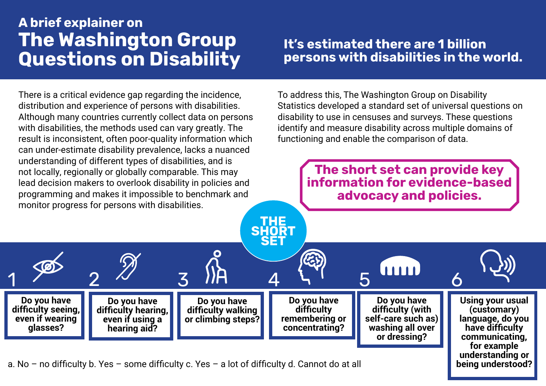# A brief explainer on The Washington Group Questions on Disability

There is a critical evidence gap regarding the incidence, distribution and experience of persons with disabilities. Although many countries currently collect data on persons with disabilities, the methods used can vary greatly. The result is inconsistent, often poor-quality information which can under-estimate disability prevalence, lacks a nuanced understanding of different types of disabilities, and is not locally, regionally or globally comparable. This may lead decision makers to overlook disability in policies and programming and makes it impossible to benchmark and monitor progress for persons with disabilities.

> **Do you have difficulty hearing, even if using a hearing aid?**

**Do you have difficulty seeing, even if wearing glasses?**

## It's estimated there are 1 billion persons with disabilities in the world.

To address this, The Washington Group on Disability Statistics developed a standard set of universal questions on disability to use in censuses and surveys. These questions identify and measure disability across multiple domains of functioning and enable the comparison of data.

> The short set can provide key information for evidence-based advocacy and policies.

> > **Do you have difficulty (with self-care such as) washing all over or dressing?**

**Using your usual (customary) language, do you have difficulty communicating, for example understanding or being understood?**

a. No – no difficulty b. Yes – some difficulty c. Yes – a lot of difficulty d. Cannot do at all

**Do you have difficulty walking or climbing steps?**

1 2 2 3 IH 4 4 5 FEB 6

THE **SHORT SET** 

> **Do you have difficulty remembering or concentrating?**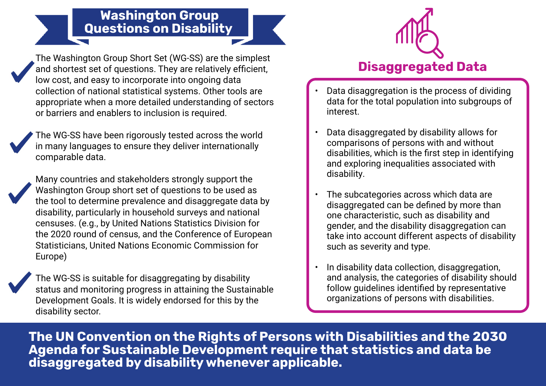## Washington Group Questions on Disability

The Washington Group Short Set (WG-SS) are the simplest and shortest set of questions. They are relatively efficient, low cost, and easy to incorporate into ongoing data collection of national statistical systems. Other tools are appropriate when a more detailed understanding of sectors or barriers and enablers to inclusion is required.

The WG-SS have been rigorously tested across the world in many languages to ensure they deliver internationally comparable data.

Many countries and stakeholders strongly support the Washington Group short set of questions to be used as the tool to determine prevalence and disaggregate data by disability, particularly in household surveys and national censuses. (e.g., by United Nations Statistics Division for the 2020 round of census, and the Conference of European Statisticians, United Nations Economic Commission for Europe)

The WG-SS is suitable for disaggregating by disability status and monitoring progress in attaining the Sustainable Development Goals. It is widely endorsed for this by the disability sector.



- Data disaggregation is the process of dividing data for the total population into subgroups of interest.
- Data disaggregated by disability allows for comparisons of persons with and without disabilities, which is the first step in identifying and exploring inequalities associated with disability.
- The subcategories across which data are disaggregated can be defined by more than one characteristic, such as disability and gender, and the disability disaggregation can take into account different aspects of disability such as severity and type.
- In disability data collection, disaggregation, and analysis, the categories of disability should follow guidelines identified by representative organizations of persons with disabilities.

The UN Convention on the Rights of Persons with Disabilities and the 2030 Agenda for Sustainable Development require that statistics and data be disaggregated by disability whenever applicable.